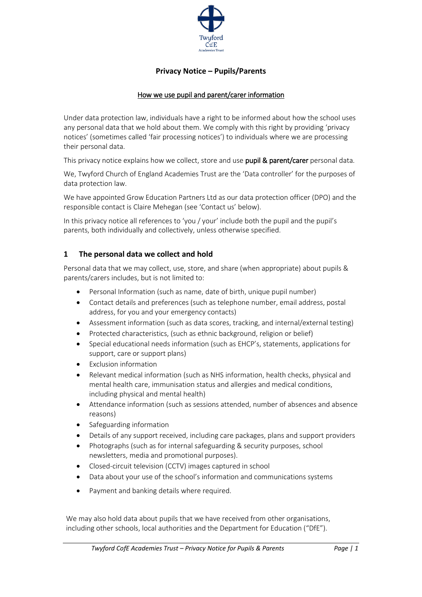

# **Privacy Notice – Pupils/Parents**

### How we use pupil and parent/carer information

Under data protection law, individuals have a right to be informed about how the school uses any personal data that we hold about them. We comply with this right by providing 'privacy notices' (sometimes called 'fair processing notices') to individuals where we are processing their personal data.

This privacy notice explains how we collect, store and use pupil & parent/carer personal data.

We, Twyford Church of England Academies Trust are the 'Data controller' for the purposes of data protection law.

We have appointed Grow Education Partners Ltd as our data protection officer (DPO) and the responsible contact is Claire Mehegan (see 'Contact us' below).

In this privacy notice all references to 'you / your' include both the pupil and the pupil's parents, both individually and collectively, unless otherwise specified.

### **1 The personal data we collect and hold**

Personal data that we may collect, use, store, and share (when appropriate) about pupils & parents/carers includes, but is not limited to:

- Personal Information (such as name, date of birth, unique pupil number)
- Contact details and preferences (such as telephone number, email address, postal address, for you and your emergency contacts)
- Assessment information (such as data scores, tracking, and internal/external testing)
- Protected characteristics, (such as ethnic background, religion or belief)
- Special educational needs information (such as EHCP's, statements, applications for support, care or support plans)
- Exclusion information
- Relevant medical information (such as NHS information, health checks, physical and mental health care, immunisation status and allergies and medical conditions, including physical and mental health)
- Attendance information (such as sessions attended, number of absences and absence reasons)
- Safeguarding information
- Details of any support received, including care packages, plans and support providers
- Photographs (such as for internal safeguarding & security purposes, school newsletters, media and promotional purposes).
- Closed-circuit television (CCTV) images captured in school
- Data about your use of the school's information and communications systems
- Payment and banking details where required.

We may also hold data about pupils that we have received from other organisations, including other schools, local authorities and the Department for Education ("DfE").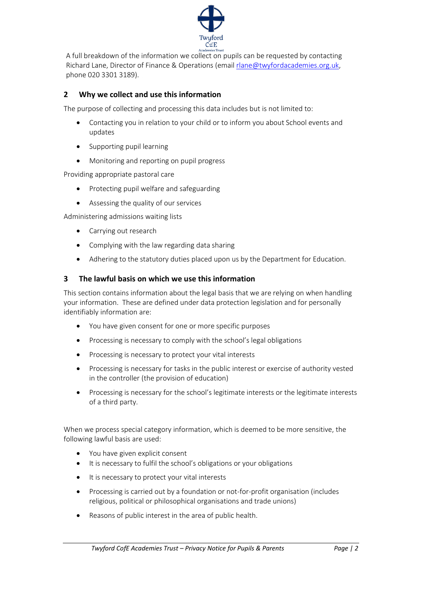

A full breakdown of the information we collect on pupils can be requested by contacting Richard Lane, Director of Finance & Operations (emai[l rlane@twyfordacademies.org.uk,](mailto:rlane@twyfordacademies.org.uk) phone 020 3301 3189).

## **2 Why we collect and use this information**

The purpose of collecting and processing this data includes but is not limited to:

- Contacting you in relation to your child or to inform you about School events and updates
- Supporting pupil learning
- Monitoring and reporting on pupil progress

Providing appropriate pastoral care

- Protecting pupil welfare and safeguarding
- Assessing the quality of our services

Administering admissions waiting lists

- Carrying out research
- Complying with the law regarding data sharing
- Adhering to the statutory duties placed upon us by the Department for Education.

## **3 The lawful basis on which we use this information**

This section contains information about the legal basis that we are relying on when handling your information. These are defined under data protection legislation and for personally identifiably information are:

- You have given consent for one or more specific purposes
- Processing is necessary to comply with the school's legal obligations
- Processing is necessary to protect your vital interests
- Processing is necessary for tasks in the public interest or exercise of authority vested in the controller (the provision of education)
- Processing is necessary for the school's legitimate interests or the legitimate interests of a third party.

When we process special category information, which is deemed to be more sensitive, the following lawful basis are used:

- You have given explicit consent
- It is necessary to fulfil the school's obligations or your obligations
- It is necessary to protect your vital interests
- Processing is carried out by a foundation or not-for-profit organisation (includes religious, political or philosophical organisations and trade unions)
- Reasons of public interest in the area of public health.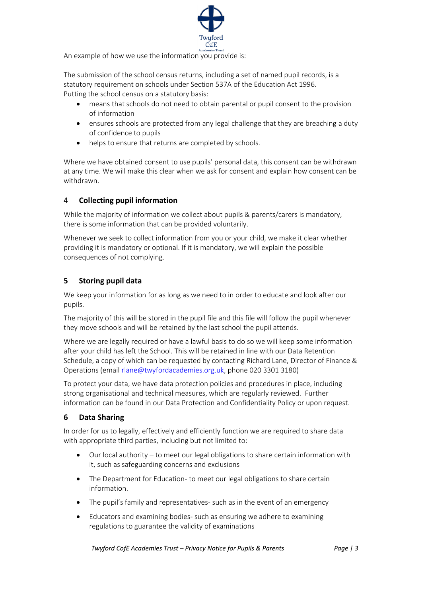

An example of how we use the information you provide is:

The submission of the school census returns, including a set of named pupil records, is a statutory requirement on schools under Section 537A of the Education Act 1996. Putting the school census on a statutory basis:

- means that schools do not need to obtain parental or pupil consent to the provision of information
- ensures schools are protected from any legal challenge that they are breaching a duty of confidence to pupils
- helps to ensure that returns are completed by schools.

Where we have obtained consent to use pupils' personal data, this consent can be withdrawn at any time. We will make this clear when we ask for consent and explain how consent can be withdrawn.

### 4 **Collecting pupil information**

While the majority of information we collect about pupils & parents/carers is mandatory, there is some information that can be provided voluntarily.

Whenever we seek to collect information from you or your child, we make it clear whether providing it is mandatory or optional. If it is mandatory, we will explain the possible consequences of not complying.

## **5 Storing pupil data**

We keep your information for as long as we need to in order to educate and look after our pupils.

The majority of this will be stored in the pupil file and this file will follow the pupil whenever they move schools and will be retained by the last school the pupil attends.

Where we are legally required or have a lawful basis to do so we will keep some information after your child has left the School. This will be retained in line with our Data Retention Schedule, a copy of which can be requested by contacting Richard Lane, Director of Finance & Operations (email [rlane@twyfordacademies.org.uk,](mailto:rlane@twyfordacademies.org.uk) phone 020 3301 3180)

To protect your data, we have data protection policies and procedures in place, including strong organisational and technical measures, which are regularly reviewed. Further information can be found in our Data Protection and Confidentiality Policy or upon request.

#### **6 Data Sharing**

In order for us to legally, effectively and efficiently function we are required to share data with appropriate third parties, including but not limited to:

- Our local authority to meet our legal obligations to share certain information with it, such as safeguarding concerns and exclusions
- The Department for Education- to meet our legal obligations to share certain information.
- The pupil's family and representatives- such as in the event of an emergency
- Educators and examining bodies- such as ensuring we adhere to examining regulations to guarantee the validity of examinations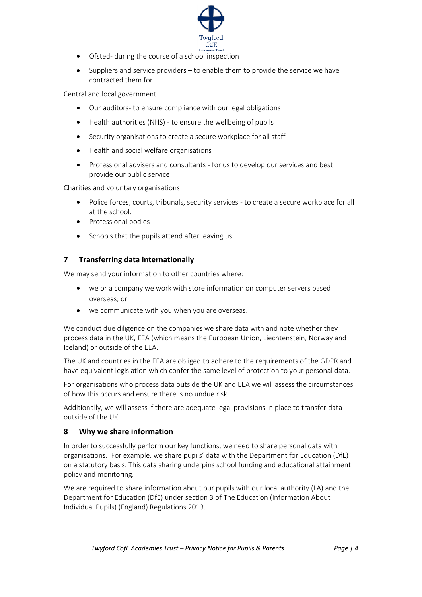

- Ofsted- during the course of a school inspection
- Suppliers and service providers to enable them to provide the service we have contracted them for

Central and local government

- Our auditors- to ensure compliance with our legal obligations
- Health authorities (NHS) to ensure the wellbeing of pupils
- Security organisations to create a secure workplace for all staff
- Health and social welfare organisations
- Professional advisers and consultants for us to develop our services and best provide our public service

Charities and voluntary organisations

- Police forces, courts, tribunals, security services to create a secure workplace for all at the school.
- Professional bodies
- Schools that the pupils attend after leaving us.

## **7 Transferring data internationally**

We may send your information to other countries where:

- we or a company we work with store information on computer servers based overseas; or
- we communicate with you when you are overseas.

We conduct due diligence on the companies we share data with and note whether they process data in the UK, EEA (which means the European Union, Liechtenstein, Norway and Iceland) or outside of the EEA.

The UK and countries in the EEA are obliged to adhere to the requirements of the GDPR and have equivalent legislation which confer the same level of protection to your personal data.

For organisations who process data outside the UK and EEA we will assess the circumstances of how this occurs and ensure there is no undue risk.

Additionally, we will assess if there are adequate legal provisions in place to transfer data outside of the UK.

## **8 Why we share information**

In order to successfully perform our key functions, we need to share personal data with organisations. For example, we share pupils' data with the Department for Education (DfE) on a statutory basis. This data sharing underpins school funding and educational attainment policy and monitoring.

We are required to share information about our pupils with our local authority (LA) and the Department for Education (DfE) under section 3 of The Education (Information About Individual Pupils) (England) Regulations 2013.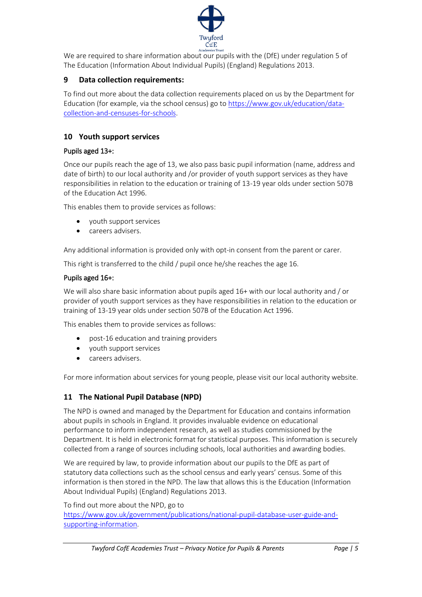

We are required to share information about our pupils with the (DfE) under regulation 5 of The Education (Information About Individual Pupils) (England) Regulations 2013.

# **9 Data collection requirements:**

To find out more about the data collection requirements placed on us by the Department for Education (for example, via the school census) go to [https://www.gov.uk/education/data](https://www.gov.uk/education/data-collection-and-censuses-for-schools)[collection-and-censuses-for-schools.](https://www.gov.uk/education/data-collection-and-censuses-for-schools)

## **10 Youth support services**

### Pupils aged 13+:

Once our pupils reach the age of 13, we also pass basic pupil information (name, address and date of birth) to our local authority and /or provider of youth support services as they have responsibilities in relation to the education or training of 13-19 year olds under section 507B of the Education Act 1996.

This enables them to provide services as follows:

- youth support services
- careers advisers.

Any additional information is provided only with opt-in consent from the parent or carer.

This right is transferred to the child / pupil once he/she reaches the age 16.

### Pupils aged 16+:

We will also share basic information about pupils aged 16+ with our local authority and / or provider of youth support services as they have responsibilities in relation to the education or training of 13-19 year olds under section 507B of the Education Act 1996.

This enables them to provide services as follows:

- post-16 education and training providers
- youth support services
- careers advisers.

For more information about services for young people, please visit our local authority website.

## **11 The National Pupil Database (NPD)**

The NPD is owned and managed by the Department for Education and contains information about pupils in schools in England. It provides invaluable evidence on educational performance to inform independent research, as well as studies commissioned by the Department. It is held in electronic format for statistical purposes. This information is securely collected from a range of sources including schools, local authorities and awarding bodies.

We are required by law, to provide information about our pupils to the DfE as part of statutory data collections such as the school census and early years' census. Some of this information is then stored in the NPD. The law that allows this is the Education (Information About Individual Pupils) (England) Regulations 2013.

To find out more about the NPD, go to

[https://www.gov.uk/government/publications/national-pupil-database-user-guide-and](https://www.gov.uk/government/publications/national-pupil-database-user-guide-and-supporting-information)[supporting-information.](https://www.gov.uk/government/publications/national-pupil-database-user-guide-and-supporting-information)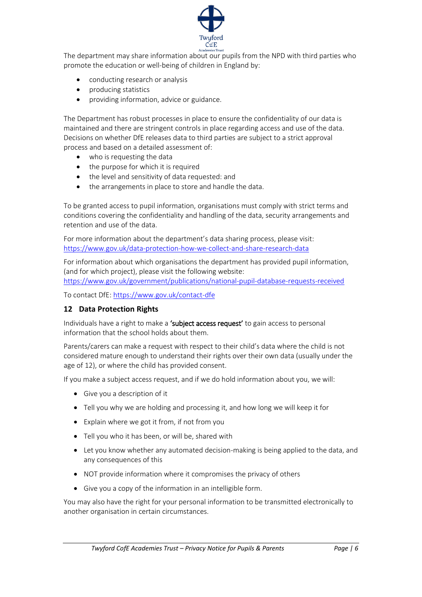

The department may share information about our pupils from the NPD with third parties who promote the education or well-being of children in England by:

- conducting research or analysis
- producing statistics
- providing information, advice or guidance.

The Department has robust processes in place to ensure the confidentiality of our data is maintained and there are stringent controls in place regarding access and use of the data. Decisions on whether DfE releases data to third parties are subject to a strict approval process and based on a detailed assessment of:

- who is requesting the data
- the purpose for which it is required
- the level and sensitivity of data requested: and
- the arrangements in place to store and handle the data.

To be granted access to pupil information, organisations must comply with strict terms and conditions covering the confidentiality and handling of the data, security arrangements and retention and use of the data.

For more information about the department's data sharing process, please visit: <https://www.gov.uk/data-protection-how-we-collect-and-share-research-data>

For information about which organisations the department has provided pupil information, (and for which project), please visit the following website:

<https://www.gov.uk/government/publications/national-pupil-database-requests-received>

To contact DfE:<https://www.gov.uk/contact-dfe>

#### **12 Data Protection Rights**

Individuals have a right to make a 'subject access request' to gain access to personal information that the school holds about them.

Parents/carers can make a request with respect to their child's data where the child is not considered mature enough to understand their rights over their own data (usually under the age of 12), or where the child has provided consent.

If you make a subject access request, and if we do hold information about you, we will:

- Give you a description of it
- Tell you why we are holding and processing it, and how long we will keep it for
- Explain where we got it from, if not from you
- Tell you who it has been, or will be, shared with
- Let you know whether any automated decision-making is being applied to the data, and any consequences of this
- NOT provide information where it compromises the privacy of others
- Give you a copy of the information in an intelligible form.

You may also have the right for your personal information to be transmitted electronically to another organisation in certain circumstances.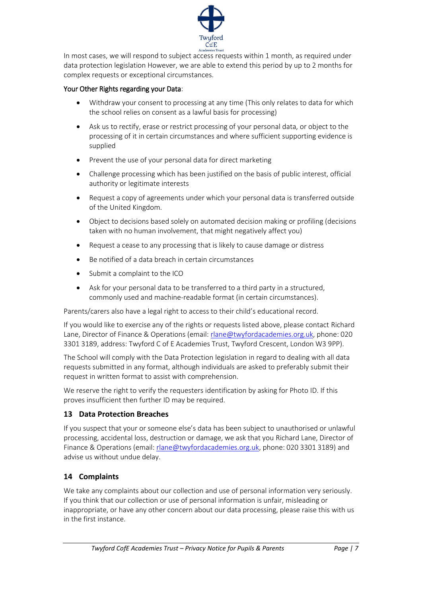

In most cases, we will respond to subject access requests within 1 month, as required under data protection legislation However, we are able to extend this period by up to 2 months for complex requests or exceptional circumstances.

### Your Other Rights regarding your Data:

- Withdraw your consent to processing at any time (This only relates to data for which the school relies on consent as a lawful basis for processing)
- Ask us to rectify, erase or restrict processing of your personal data, or object to the processing of it in certain circumstances and where sufficient supporting evidence is supplied
- Prevent the use of your personal data for direct marketing
- Challenge processing which has been justified on the basis of public interest, official authority or legitimate interests
- Request a copy of agreements under which your personal data is transferred outside of the United Kingdom.
- Object to decisions based solely on automated decision making or profiling (decisions taken with no human involvement, that might negatively affect you)
- Request a cease to any processing that is likely to cause damage or distress
- Be notified of a data breach in certain circumstances
- Submit a complaint to the ICO
- Ask for your personal data to be transferred to a third party in a structured, commonly used and machine-readable format (in certain circumstances).

Parents/carers also have a legal right to access to their child's educational record.

If you would like to exercise any of the rights or requests listed above, please contact Richard Lane, Director of Finance & Operations (email: [rlane@twyfordacademies.org.uk,](mailto:rlane@twyfordacademies.org.uk) phone: 020 3301 3189, address: Twyford C of E Academies Trust, Twyford Crescent, London W3 9PP).

The School will comply with the Data Protection legislation in regard to dealing with all data requests submitted in any format, although individuals are asked to preferably submit their request in written format to assist with comprehension.

We reserve the right to verify the requesters identification by asking for Photo ID. If this proves insufficient then further ID may be required.

## **13 Data Protection Breaches**

If you suspect that your or someone else's data has been subject to unauthorised or unlawful processing, accidental loss, destruction or damage, we ask that you Richard Lane, Director of Finance & Operations (email: [rlane@twyfordacademies.org.uk,](mailto:rlane@twyfordacademies.org.uk) phone: 020 3301 3189) and advise us without undue delay.

## **14 Complaints**

We take any complaints about our collection and use of personal information very seriously. If you think that our collection or use of personal information is unfair, misleading or inappropriate, or have any other concern about our data processing, please raise this with us in the first instance.